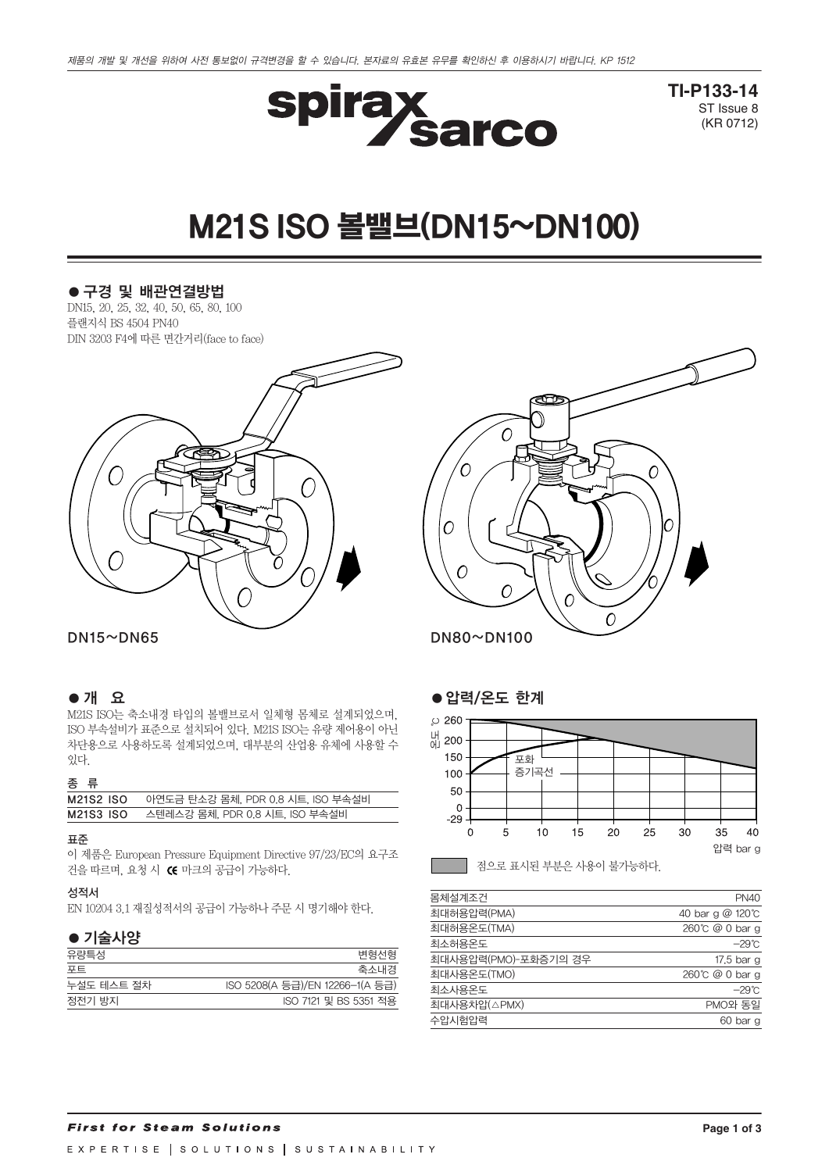

**TI-P133-14** ST Issue 8 (KR 0712)

# M21S ISO볼밸브(DN15~DN100)

# ●구경 및 배관연결방법

DN15, 20, 25, 32, 40, 50, 65, 80, 100 플랜지식 BS 4504 PN40 DIN 3203 F4에 따른 면간거리(face to face)



# ●개 요

M21S ISO는 축소내경 타입의 볼밸브로서 일체형 몸체로 설계되었으며, ISO 부속설비가 표준으로 설치되어 있다. M21S ISO는 유량 제어용이 아닌 차단용으로 사용하도록 설계되었으며, 대부분의 산업용 유체에 사용할 수 있다.

# 종 류

| - -       |                                   |
|-----------|-----------------------------------|
| M21S2 ISO | 아연도금 탄소강 몸체, PDR 0.8 시트, ISO 부속설비 |
| M21S3 ISO | 스텐레스강 몸체, PDR 0.8 시트, ISO 부속설비    |

#### 표준

이 제품은 European Pressure Equipment Directive 97/23/EC의 요구조 건을 따르며, 요청 시 C 마크의 공급이 가능하다.

### 성적서

EN 10204 3.1 재질성적서의 공급이 가능하나 주문 시 명기해야 한다.

# ●기술사양

| 유량특성       | 변형선형                            |
|------------|---------------------------------|
| 포트         | 축소내경                            |
| 누설도 테스트 절차 | ISO 5208(A 등급)/EN 12266-1(A 등급) |
| 정전기 방지     | ISO 7121 및 BS 5351 적용           |



# ●압력/온도 한계



| 몸체설계조건               | <b>PN40</b>      |
|----------------------|------------------|
| 최대허용압력(PMA)          | 40 bar g @ 120°C |
| 최대허용온도(TMA)          | 260℃ @ 0 bar g   |
| 최소허용온도               | $-29^{\circ}$ C  |
| 최대사용압력(PMO)-포화증기의 경우 | 17.5 bar g       |
| 최대사용온도(TMO)          | 260℃ @ 0 bar g   |
| 최소사용온도               | $-29^{\circ}$ C  |
| 최대사용차압(△PMX)         | PMO와 동일          |
| 수압시험압력               | 60 bar g         |
|                      |                  |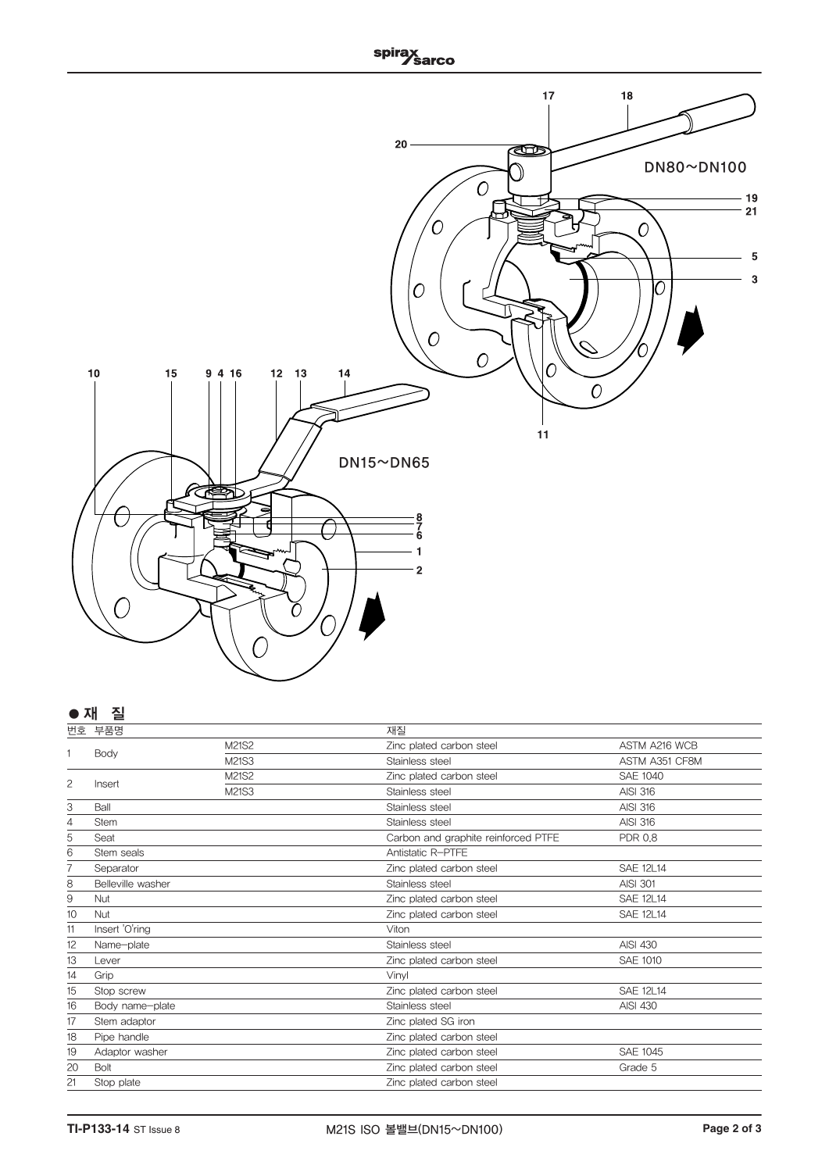

# **● 재 질**

|                | 번호 부품명            |       | 재질                                  |                  |
|----------------|-------------------|-------|-------------------------------------|------------------|
| 1              | Body              | M21S2 | Zinc plated carbon steel            | ASTM A216 WCB    |
|                |                   | M21S3 | Stainless steel                     | ASTM A351 CF8M   |
|                |                   | M21S2 | Zinc plated carbon steel            | <b>SAE 1040</b>  |
| $\overline{c}$ | Insert            | M21S3 | Stainless steel                     | <b>AISI 316</b>  |
| 3              | Ball              |       | Stainless steel                     | <b>AISI 316</b>  |
| 4              | <b>Stem</b>       |       | Stainless steel                     | <b>AISI 316</b>  |
| 5              | Seat              |       | Carbon and graphite reinforced PTFE | <b>PDR 0.8</b>   |
| 6              | Stem seals        |       | Antistatic R-PTFE                   |                  |
|                | Separator         |       | Zinc plated carbon steel            | <b>SAE 12L14</b> |
| 8              | Belleville washer |       | Stainless steel                     | <b>AISI 301</b>  |
| 9              | <b>Nut</b>        |       | Zinc plated carbon steel            | <b>SAE 12L14</b> |
| 10             | Nut               |       | Zinc plated carbon steel            | <b>SAE 12L14</b> |
| 11             | Insert 'O'ring    |       | Viton                               |                  |
| 12             | Name-plate        |       | Stainless steel                     | <b>AISI 430</b>  |
| 13             | Lever             |       | Zinc plated carbon steel            | <b>SAE 1010</b>  |
| 14             | Grip              |       | Vinvl                               |                  |
| 15             | Stop screw        |       | Zinc plated carbon steel            | <b>SAE 12L14</b> |
| 16             | Body name-plate   |       | Stainless steel                     | <b>AISI 430</b>  |
| 17             | Stem adaptor      |       | Zinc plated SG iron                 |                  |
| 18             | Pipe handle       |       | Zinc plated carbon steel            |                  |
| 19             | Adaptor washer    |       | Zinc plated carbon steel            | <b>SAE 1045</b>  |
| 20             | Bolt              |       | Zinc plated carbon steel            | Grade 5          |
| 21             | Stop plate        |       | Zinc plated carbon steel            |                  |